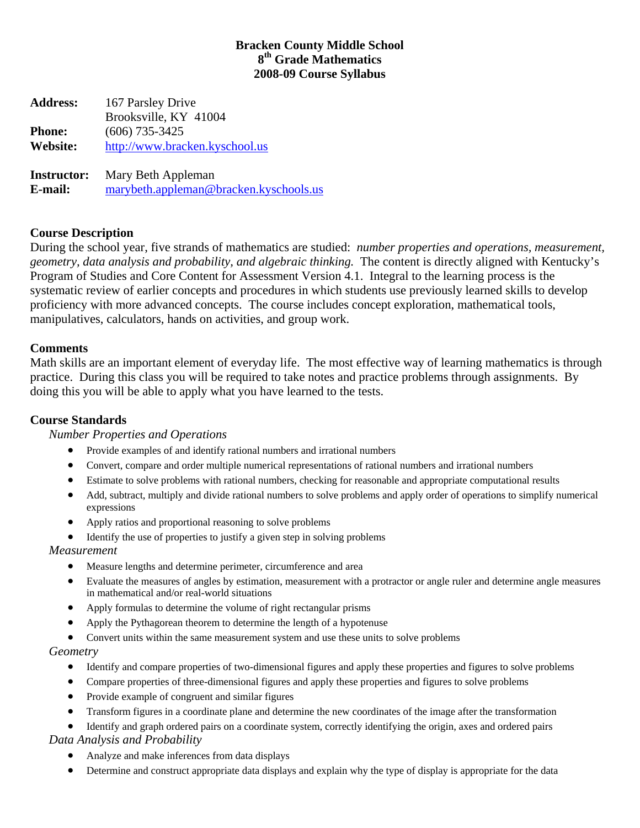# **Bracken County Middle School 8th Grade Mathematics 2008-09 Course Syllabus**

**Address:** 167 Parsley Drive Brooksville, KY 41004 **Phone:** (606) 735-3425 **Website:** [http://www.bracken.kyschool.us](http://www.bracken.kyschool.us/) **Instructor:** Mary Beth Appleman

**E-mail:** [marybeth.appleman@bracken.kyschools.us](mailto:marybeth.appleman@bracken.kyschools.us)

# **Course Description**

During the school year, five strands of mathematics are studied: *number properties and operations, measurement, geometry, data analysis and probability, and algebraic thinking.* The content is directly aligned with Kentucky's Program of Studies and Core Content for Assessment Version 4.1. Integral to the learning process is the systematic review of earlier concepts and procedures in which students use previously learned skills to develop proficiency with more advanced concepts. The course includes concept exploration, mathematical tools, manipulatives, calculators, hands on activities, and group work.

## **Comments**

Math skills are an important element of everyday life. The most effective way of learning mathematics is through practice. During this class you will be required to take notes and practice problems through assignments. By doing this you will be able to apply what you have learned to the tests.

## **Course Standards**

## *Number Properties and Operations*

- Provide examples of and identify rational numbers and irrational numbers
- Convert, compare and order multiple numerical representations of rational numbers and irrational numbers
- Estimate to solve problems with rational numbers, checking for reasonable and appropriate computational results
- Add, subtract, multiply and divide rational numbers to solve problems and apply order of operations to simplify numerical expressions
- Apply ratios and proportional reasoning to solve problems
- Identify the use of properties to justify a given step in solving problems

## *Measurement*

- Measure lengths and determine perimeter, circumference and area
- Evaluate the measures of angles by estimation, measurement with a protractor or angle ruler and determine angle measures in mathematical and/or real-world situations
- Apply formulas to determine the volume of right rectangular prisms
- Apply the Pythagorean theorem to determine the length of a hypotenuse
- Convert units within the same measurement system and use these units to solve problems

## *Geometry*

- Identify and compare properties of two-dimensional figures and apply these properties and figures to solve problems
- Compare properties of three-dimensional figures and apply these properties and figures to solve problems
- Provide example of congruent and similar figures
- Transform figures in a coordinate plane and determine the new coordinates of the image after the transformation
- Identify and graph ordered pairs on a coordinate system, correctly identifying the origin, axes and ordered pairs

*Data Analysis and Probability* 

- Analyze and make inferences from data displays
- Determine and construct appropriate data displays and explain why the type of display is appropriate for the data